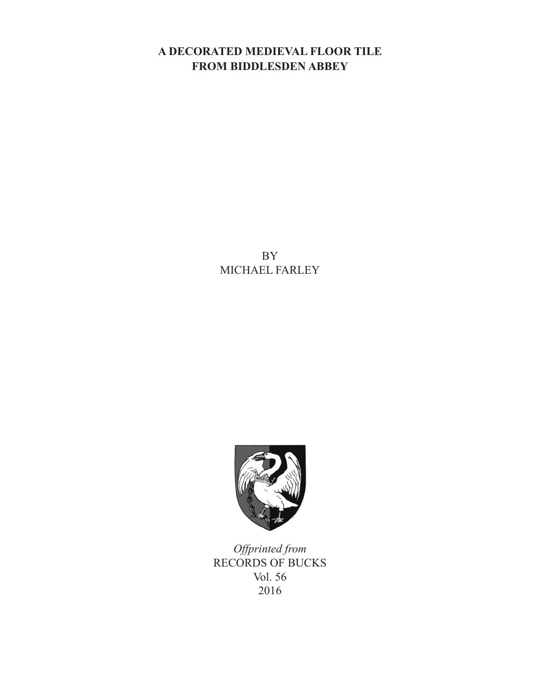# **A DECORATED MEDIEVAL FLOOR TILE FROM BIDDLESDEN ABBEY**

BY MICHAEL FARLEY



*Offprinted from* RECORDS OF BUCKS Vol. 56 2016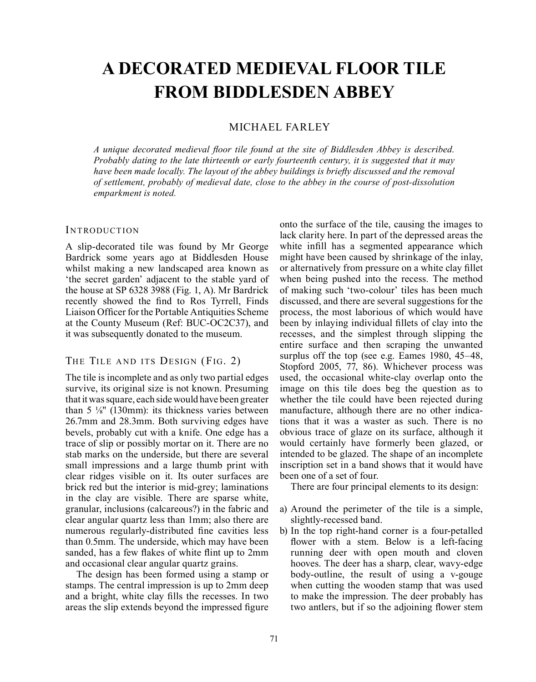# **A DECORATED MEDIEVAL FLOOR TILE FROM BIDDLESDEN ABBEY**

# MICHAEL FARLEY

*A unique decorated medieval floor tile found at the site of Biddlesden Abbey is described. Probably dating to the late thirteenth or early fourteenth century, it is suggested that it may have been made locally. The layout of the abbey buildings is briefly discussed and the removal of settlement, probably of medieval date, close to the abbey in the course of post-dissolution emparkment is noted.*

## **INTRODUCTION**

A slip-decorated tile was found by Mr George Bardrick some years ago at Biddlesden House whilst making a new landscaped area known as 'the secret garden' adjacent to the stable yard of the house at SP 6328 3988 (Fig. 1, A). Mr Bardrick recently showed the find to Ros Tyrrell, Finds Liaison Officer for the Portable Antiquities Scheme at the County Museum (Ref: BUC-OC2C37), and it was subsequently donated to the museum.

# THE TILE AND ITS DESIGN (FIG. 2)

The tile is incomplete and as only two partial edges survive, its original size is not known. Presuming that it was square, each side would have been greater than  $5\frac{1}{8}$ " (130mm): its thickness varies between 26.7mm and 28.3mm. Both surviving edges have bevels, probably cut with a knife. One edge has a trace of slip or possibly mortar on it. There are no stab marks on the underside, but there are several small impressions and a large thumb print with clear ridges visible on it. Its outer surfaces are brick red but the interior is mid-grey; laminations in the clay are visible. There are sparse white, granular, inclusions (calcareous?) in the fabric and clear angular quartz less than 1mm; also there are numerous regularly-distributed fine cavities less than 0.5mm. The underside, which may have been sanded, has a few flakes of white flint up to 2mm and occasional clear angular quartz grains.

The design has been formed using a stamp or stamps. The central impression is up to 2mm deep and a bright, white clay fills the recesses. In two areas the slip extends beyond the impressed figure

onto the surface of the tile, causing the images to lack clarity here. In part of the depressed areas the white infill has a segmented appearance which might have been caused by shrinkage of the inlay, or alternatively from pressure on a white clay fillet when being pushed into the recess. The method of making such 'two-colour' tiles has been much discussed, and there are several suggestions for the process, the most laborious of which would have been by inlaying individual fillets of clay into the recesses, and the simplest through slipping the entire surface and then scraping the unwanted surplus off the top (see e.g. Eames 1980, 45–48, Stopford 2005, 77, 86). Whichever process was used, the occasional white-clay overlap onto the image on this tile does beg the question as to whether the tile could have been rejected during manufacture, although there are no other indications that it was a waster as such. There is no obvious trace of glaze on its surface, although it would certainly have formerly been glazed, or intended to be glazed. The shape of an incomplete inscription set in a band shows that it would have been one of a set of four.

There are four principal elements to its design:

- a) Around the perimeter of the tile is a simple, slightly-recessed band.
- b) In the top right-hand corner is a four-petalled flower with a stem. Below is a left-facing running deer with open mouth and cloven hooves. The deer has a sharp, clear, wavy-edge body-outline, the result of using a v-gouge when cutting the wooden stamp that was used to make the impression. The deer probably has two antlers, but if so the adjoining flower stem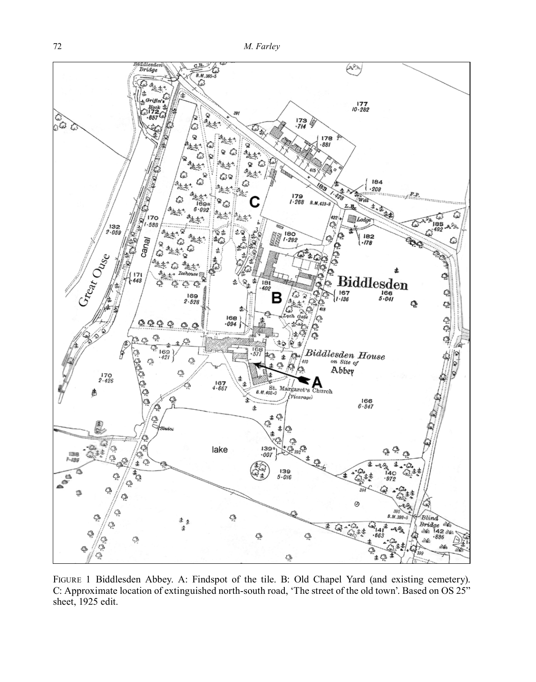

Figure 1 Biddlesden Abbey. A: Findspot of the tile. B: Old Chapel Yard (and existing cemetery). C: Approximate location of extinguished north-south road, 'The street of the old town'. Based on OS 25" sheet, 1925 edit.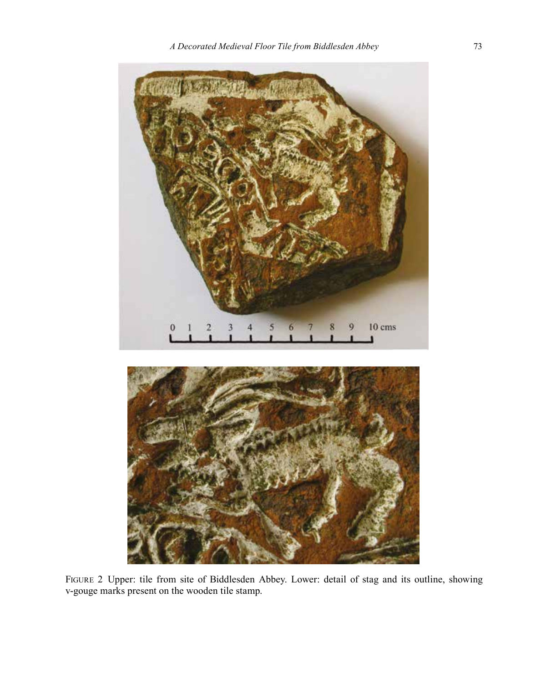

Figure 2 Upper: tile from site of Biddlesden Abbey. Lower: detail of stag and its outline, showing v-gouge marks present on the wooden tile stamp.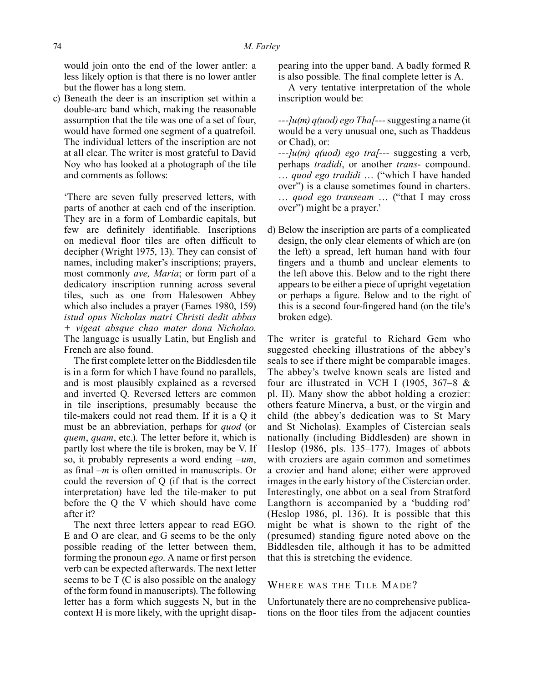would join onto the end of the lower antler: a less likely option is that there is no lower antler but the flower has a long stem.

c) Beneath the deer is an inscription set within a double-arc band which, making the reasonable assumption that the tile was one of a set of four, would have formed one segment of a quatrefoil. The individual letters of the inscription are not at all clear. The writer is most grateful to David Noy who has looked at a photograph of the tile and comments as follows:

'There are seven fully preserved letters, with parts of another at each end of the inscription. They are in a form of Lombardic capitals, but few are definitely identifiable. Inscriptions on medieval floor tiles are often difficult to decipher (Wright 1975, 13). They can consist of names, including maker's inscriptions; prayers, most commonly *ave, Maria*; or form part of a dedicatory inscription running across several tiles, such as one from Halesowen Abbey which also includes a prayer (Eames 1980, 159) *istud opus Nicholas matri Christi dedit abbas + vigeat absque chao mater dona Nicholao*. The language is usually Latin, but English and French are also found.

The first complete letter on the Biddlesden tile is in a form for which I have found no parallels, and is most plausibly explained as a reversed and inverted Q. Reversed letters are common in tile inscriptions, presumably because the tile-makers could not read them. If it is a Q it must be an abbreviation, perhaps for *quod* (or *quem*, *quam*, etc.). The letter before it, which is partly lost where the tile is broken, may be V. If so, it probably represents a word ending *–um*, as final *–m* is often omitted in manuscripts. Or could the reversion of Q (if that is the correct interpretation) have led the tile-maker to put before the Q the V which should have come after it?

The next three letters appear to read EGO. E and O are clear, and G seems to be the only possible reading of the letter between them, forming the pronoun *ego*. A name or first person verb can be expected afterwards. The next letter seems to be T (C is also possible on the analogy of the form found in manuscripts). The following letter has a form which suggests N, but in the context H is more likely, with the upright disappearing into the upper band. A badly formed R is also possible. The final complete letter is A.

A very tentative interpretation of the whole inscription would be:

*---]u(m) q(uod) ego Tha[---* suggesting a name (it would be a very unusual one, such as Thaddeus or Chad), or:

*---]u(m) q(uod) ego tra[---* suggesting a verb, perhaps *tradidi*, or another *trans*- compound. … *quod ego tradidi* … ("which I have handed over") is a clause sometimes found in charters. … *quod ego transeam* … ("that I may cross over") might be a prayer.'

d) Below the inscription are parts of a complicated design, the only clear elements of which are (on the left) a spread, left human hand with four fingers and a thumb and unclear elements to the left above this. Below and to the right there appears to be either a piece of upright vegetation or perhaps a figure. Below and to the right of this is a second four-fingered hand (on the tile's broken edge).

The writer is grateful to Richard Gem who suggested checking illustrations of the abbey's seals to see if there might be comparable images. The abbey's twelve known seals are listed and four are illustrated in VCH I (1905, 367–8 & pl. II). Many show the abbot holding a crozier: others feature Minerva, a bust, or the virgin and child (the abbey's dedication was to St Mary and St Nicholas). Examples of Cistercian seals nationally (including Biddlesden) are shown in Heslop (1986, pls. 135–177). Images of abbots with croziers are again common and sometimes a crozier and hand alone; either were approved images in the early history of the Cistercian order. Interestingly, one abbot on a seal from Stratford Langthorn is accompanied by a 'budding rod' (Heslop 1986, pl. 136). It is possible that this might be what is shown to the right of the (presumed) standing figure noted above on the Biddlesden tile, although it has to be admitted that this is stretching the evidence.

### WHERE WAS THE TILE MADE?

Unfortunately there are no comprehensive publications on the floor tiles from the adjacent counties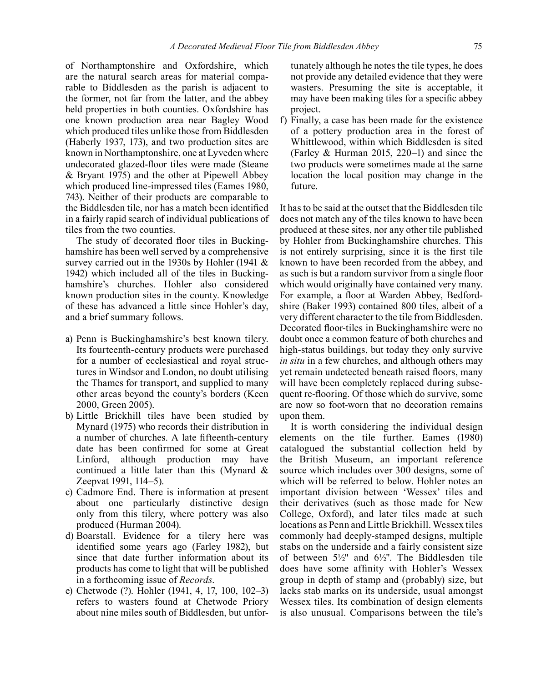of Northamptonshire and Oxfordshire, which are the natural search areas for material comparable to Biddlesden as the parish is adjacent to the former, not far from the latter, and the abbey held properties in both counties. Oxfordshire has one known production area near Bagley Wood which produced tiles unlike those from Biddlesden (Haberly 1937, 173), and two production sites are known in Northamptonshire, one at Lyveden where undecorated glazed-floor tiles were made (Steane & Bryant 1975) and the other at Pipewell Abbey which produced line-impressed tiles (Eames 1980, 743). Neither of their products are comparable to the Biddlesden tile, nor has a match been identified in a fairly rapid search of individual publications of tiles from the two counties.

The study of decorated floor tiles in Buckinghamshire has been well served by a comprehensive survey carried out in the 1930s by Hohler (1941 & 1942) which included all of the tiles in Buckinghamshire's churches. Hohler also considered known production sites in the county. Knowledge of these has advanced a little since Hohler's day, and a brief summary follows.

- a) Penn is Buckinghamshire's best known tilery. Its fourteenth-century products were purchased for a number of ecclesiastical and royal structures in Windsor and London, no doubt utilising the Thames for transport, and supplied to many other areas beyond the county's borders (Keen 2000, Green 2005).
- b) Little Brickhill tiles have been studied by Mynard (1975) who records their distribution in a number of churches. A late fifteenth-century date has been confirmed for some at Great Linford, although production may have continued a little later than this (Mynard & Zeepvat 1991, 114–5).
- c) Cadmore End. There is information at present about one particularly distinctive design only from this tilery, where pottery was also produced (Hurman 2004).
- d) Boarstall. Evidence for a tilery here was identified some years ago (Farley 1982), but since that date further information about its products has come to light that will be published in a forthcoming issue of *Records*.
- e) Chetwode (?). Hohler (1941, 4, 17, 100, 102–3) refers to wasters found at Chetwode Priory about nine miles south of Biddlesden, but unfor-

tunately although he notes the tile types, he does not provide any detailed evidence that they were wasters. Presuming the site is acceptable, it may have been making tiles for a specific abbey project.

f) Finally, a case has been made for the existence of a pottery production area in the forest of Whittlewood, within which Biddlesden is sited (Farley & Hurman 2015, 220–1) and since the two products were sometimes made at the same location the local position may change in the future.

It has to be said at the outset that the Biddlesden tile does not match any of the tiles known to have been produced at these sites, nor any other tile published by Hohler from Buckinghamshire churches. This is not entirely surprising, since it is the first tile known to have been recorded from the abbey, and as such is but a random survivor from a single floor which would originally have contained very many. For example, a floor at Warden Abbey, Bedfordshire (Baker 1993) contained 800 tiles, albeit of a very different character to the tile from Biddlesden. Decorated floor-tiles in Buckinghamshire were no doubt once a common feature of both churches and high-status buildings, but today they only survive *in situ* in a few churches, and although others may yet remain undetected beneath raised floors, many will have been completely replaced during subsequent re-flooring. Of those which do survive, some are now so foot-worn that no decoration remains upon them.

It is worth considering the individual design elements on the tile further. Eames (1980) catalogued the substantial collection held by the British Museum, an important reference source which includes over 300 designs, some of which will be referred to below. Hohler notes an important division between 'Wessex' tiles and their derivatives (such as those made for New College, Oxford), and later tiles made at such locations as Penn and Little Brickhill. Wessex tiles commonly had deeply-stamped designs, multiple stabs on the underside and a fairly consistent size of between 5½" and 6½". The Biddlesden tile does have some affinity with Hohler's Wessex group in depth of stamp and (probably) size, but lacks stab marks on its underside, usual amongst Wessex tiles. Its combination of design elements is also unusual. Comparisons between the tile's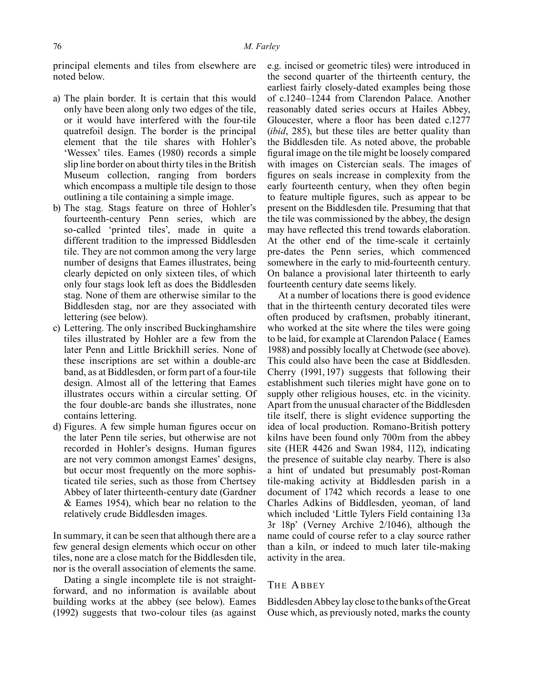principal elements and tiles from elsewhere are noted below.

- a) The plain border. It is certain that this would only have been along only two edges of the tile, or it would have interfered with the four-tile quatrefoil design. The border is the principal element that the tile shares with Hohler's 'Wessex' tiles. Eames (1980) records a simple slip line border on about thirty tiles in the British Museum collection, ranging from borders which encompass a multiple tile design to those outlining a tile containing a simple image.
- b) The stag. Stags feature on three of Hohler's fourteenth-century Penn series, which are so-called 'printed tiles', made in quite a different tradition to the impressed Biddlesden tile. They are not common among the very large number of designs that Eames illustrates, being clearly depicted on only sixteen tiles, of which only four stags look left as does the Biddlesden stag. None of them are otherwise similar to the Biddlesden stag, nor are they associated with lettering (see below).
- c) Lettering. The only inscribed Buckinghamshire tiles illustrated by Hohler are a few from the later Penn and Little Brickhill series. None of these inscriptions are set within a double-arc band, as at Biddlesden, or form part of a four-tile design. Almost all of the lettering that Eames illustrates occurs within a circular setting. Of the four double-arc bands she illustrates, none contains lettering.
- d) Figures. A few simple human figures occur on the later Penn tile series, but otherwise are not recorded in Hohler's designs. Human figures are not very common amongst Eames' designs, but occur most frequently on the more sophisticated tile series, such as those from Chertsey Abbey of later thirteenth-century date (Gardner & Eames 1954), which bear no relation to the relatively crude Biddlesden images.

In summary, it can be seen that although there are a few general design elements which occur on other tiles, none are a close match for the Biddlesden tile, nor is the overall association of elements the same.

Dating a single incomplete tile is not straightforward, and no information is available about building works at the abbey (see below). Eames (1992) suggests that two-colour tiles (as against e.g. incised or geometric tiles) were introduced in the second quarter of the thirteenth century, the earliest fairly closely-dated examples being those of c.1240–1244 from Clarendon Palace. Another reasonably dated series occurs at Hailes Abbey, Gloucester, where a floor has been dated c.1277 (*ibid*, 285), but these tiles are better quality than the Biddlesden tile. As noted above, the probable figural image on the tile might be loosely compared with images on Cistercian seals. The images of figures on seals increase in complexity from the early fourteenth century, when they often begin to feature multiple figures, such as appear to be present on the Biddlesden tile. Presuming that that the tile was commissioned by the abbey, the design may have reflected this trend towards elaboration. At the other end of the time-scale it certainly pre-dates the Penn series, which commenced somewhere in the early to mid-fourteenth century. On balance a provisional later thirteenth to early fourteenth century date seems likely.

At a number of locations there is good evidence that in the thirteenth century decorated tiles were often produced by craftsmen, probably itinerant, who worked at the site where the tiles were going to be laid, for example at Clarendon Palace ( Eames 1988) and possibly locally at Chetwode (see above). This could also have been the case at Biddlesden. Cherry (1991,197) suggests that following their establishment such tileries might have gone on to supply other religious houses, etc. in the vicinity. Apart from the unusual character of the Biddlesden tile itself, there is slight evidence supporting the idea of local production. Romano-British pottery kilns have been found only 700m from the abbey site (HER 4426 and Swan 1984, 112), indicating the presence of suitable clay nearby. There is also a hint of undated but presumably post-Roman tile-making activity at Biddlesden parish in a document of 1742 which records a lease to one Charles Adkins of Biddlesden, yeoman, of land which included 'Little Tylers Field containing 13a 3r 18p' (Verney Archive 2/1046), although the name could of course refer to a clay source rather than a kiln, or indeed to much later tile-making activity in the area.

### THE ABBEY

Biddlesden Abbey lay close to the banks of the Great Ouse which, as previously noted, marks the county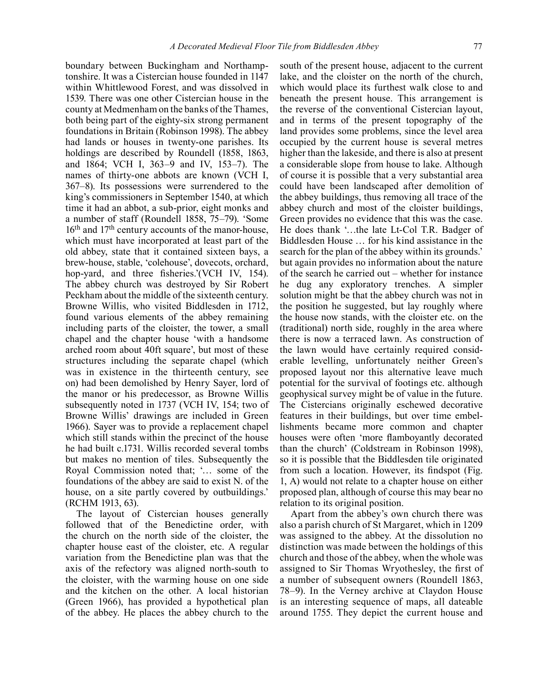boundary between Buckingham and Northamptonshire. It was a Cistercian house founded in 1147 within Whittlewood Forest, and was dissolved in 1539. There was one other Cistercian house in the county at Medmenham on the banks of the Thames, both being part of the eighty-six strong permanent foundations in Britain (Robinson 1998). The abbey had lands or houses in twenty-one parishes. Its holdings are described by Roundell (1858, 1863, and 1864; VCH I, 363–9 and IV, 153–7). The names of thirty-one abbots are known (VCH I, 367–8). Its possessions were surrendered to the king's commissioners in September 1540, at which time it had an abbot, a sub-prior, eight monks and a number of staff (Roundell 1858, 75–79). 'Some  $16<sup>th</sup>$  and  $17<sup>th</sup>$  century accounts of the manor-house. which must have incorporated at least part of the old abbey, state that it contained sixteen bays, a brew-house, stable, 'colehouse', dovecots, orchard, hop-yard, and three fisheries.'(VCH IV, 154). The abbey church was destroyed by Sir Robert Peckham about the middle of the sixteenth century. Browne Willis, who visited Biddlesden in 1712, found various elements of the abbey remaining including parts of the cloister, the tower, a small chapel and the chapter house 'with a handsome arched room about 40ft square', but most of these structures including the separate chapel (which was in existence in the thirteenth century, see on) had been demolished by Henry Sayer, lord of the manor or his predecessor, as Browne Willis subsequently noted in 1737 (VCH IV, 154; two of Browne Willis' drawings are included in Green 1966). Sayer was to provide a replacement chapel which still stands within the precinct of the house he had built c.1731. Willis recorded several tombs but makes no mention of tiles. Subsequently the Royal Commission noted that; '… some of the foundations of the abbey are said to exist N. of the house, on a site partly covered by outbuildings.' (RCHM 1913, 63).

The layout of Cistercian houses generally followed that of the Benedictine order, with the church on the north side of the cloister, the chapter house east of the cloister, etc. A regular variation from the Benedictine plan was that the axis of the refectory was aligned north-south to the cloister, with the warming house on one side and the kitchen on the other. A local historian (Green 1966), has provided a hypothetical plan of the abbey. He places the abbey church to the

south of the present house, adjacent to the current lake, and the cloister on the north of the church, which would place its furthest walk close to and beneath the present house. This arrangement is the reverse of the conventional Cistercian layout, and in terms of the present topography of the land provides some problems, since the level area occupied by the current house is several metres higher than the lakeside, and there is also at present a considerable slope from house to lake. Although of course it is possible that a very substantial area could have been landscaped after demolition of the abbey buildings, thus removing all trace of the abbey church and most of the cloister buildings, Green provides no evidence that this was the case. He does thank '…the late Lt-Col T.R. Badger of Biddlesden House … for his kind assistance in the search for the plan of the abbey within its grounds.' but again provides no information about the nature of the search he carried out – whether for instance he dug any exploratory trenches. A simpler solution might be that the abbey church was not in the position he suggested, but lay roughly where the house now stands, with the cloister etc. on the (traditional) north side, roughly in the area where there is now a terraced lawn. As construction of the lawn would have certainly required considerable levelling, unfortunately neither Green's proposed layout nor this alternative leave much potential for the survival of footings etc. although geophysical survey might be of value in the future. The Cistercians originally eschewed decorative features in their buildings, but over time embellishments became more common and chapter houses were often 'more flamboyantly decorated than the church' (Coldstream in Robinson 1998), so it is possible that the Biddlesden tile originated from such a location. However, its findspot (Fig. 1, A) would not relate to a chapter house on either proposed plan, although of course this may bear no relation to its original position.

Apart from the abbey's own church there was also a parish church of St Margaret, which in 1209 was assigned to the abbey. At the dissolution no distinction was made between the holdings of this church and those of the abbey, when the whole was assigned to Sir Thomas Wryothesley, the first of a number of subsequent owners (Roundell 1863, 78–9). In the Verney archive at Claydon House is an interesting sequence of maps, all dateable around 1755. They depict the current house and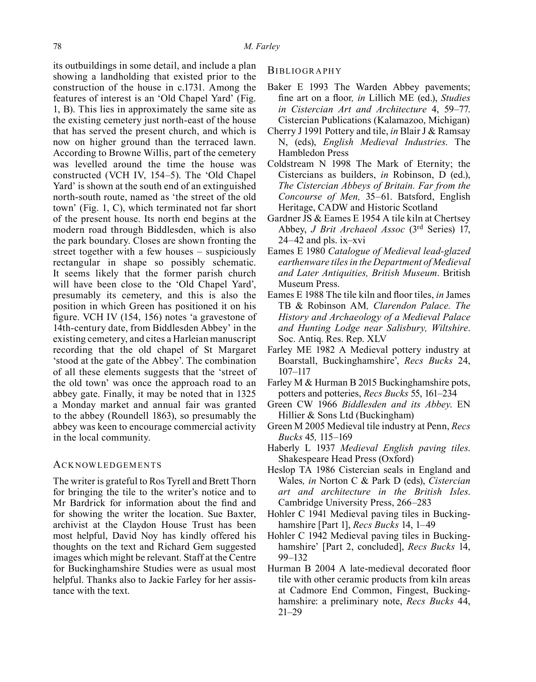its outbuildings in some detail, and include a plan showing a landholding that existed prior to the construction of the house in c.1731. Among the features of interest is an 'Old Chapel Yard' (Fig. 1, B). This lies in approximately the same site as the existing cemetery just north-east of the house that has served the present church, and which is now on higher ground than the terraced lawn. According to Browne Willis, part of the cemetery was levelled around the time the house was constructed (VCH IV, 154–5). The 'Old Chapel Yard' is shown at the south end of an extinguished north-south route, named as 'the street of the old town' (Fig. 1, C), which terminated not far short of the present house. Its north end begins at the modern road through Biddlesden, which is also the park boundary. Closes are shown fronting the street together with a few houses – suspiciously rectangular in shape so possibly schematic. It seems likely that the former parish church will have been close to the 'Old Chapel Yard', presumably its cemetery, and this is also the position in which Green has positioned it on his figure. VCH IV (154, 156) notes 'a gravestone of 14th-century date, from Biddlesden Abbey' in the existing cemetery, and cites a Harleian manuscript recording that the old chapel of St Margaret 'stood at the gate of the Abbey'. The combination of all these elements suggests that the 'street of the old town' was once the approach road to an abbey gate. Finally, it may be noted that in 1325 a Monday market and annual fair was granted to the abbey (Roundell 1863), so presumably the abbey was keen to encourage commercial activity in the local community.

#### **ACKNOWLEDGEMENTS**

The writer is grateful to Ros Tyrell and Brett Thorn for bringing the tile to the writer's notice and to Mr Bardrick for information about the find and for showing the writer the location. Sue Baxter, archivist at the Claydon House Trust has been most helpful, David Noy has kindly offered his thoughts on the text and Richard Gem suggested images which might be relevant. Staff at the Centre for Buckinghamshire Studies were as usual most helpful. Thanks also to Jackie Farley for her assistance with the text.

**BIBLIOGRAPHY** 

- Baker E 1993 The Warden Abbey pavements; fine art on a floor*, in* Lillich ME (ed.), *Studies in Cistercian Art and Architecture* 4, 59–77. Cistercian Publications (Kalamazoo, Michigan)
- Cherry J 1991 Pottery and tile, *in* Blair J & Ramsay N, (eds), *English Medieval Industries*. The Hambledon Press
- Coldstream N 1998 The Mark of Eternity; the Cistercians as builders, *in* Robinson, D (ed.), *The Cistercian Abbeys of Britain. Far from the Concourse of Men,* 35–61. Batsford, English Heritage, CADW and Historic Scotland
- Gardner JS & Eames E 1954 A tile kiln at Chertsey Abbey, *J Brit Archaeol Assoc* (3rd Series) 17,  $24-42$  and pls. ix–xvi
- Eames E 1980 *Catalogue of Medieval lead-glazed earthenware tiles in the Department of Medieval and Later Antiquities, British Museum*. British Museum Press.
- Eames E 1988 The tile kiln and floor tiles, *in* James TB & Robinson AM*, Clarendon Palace. The History and Archaeology of a Medieval Palace and Hunting Lodge near Salisbury, Wiltshire*. Soc. Antiq. Res. Rep. XLV
- Farley ME 1982 A Medieval pottery industry at Boarstall, Buckinghamshire', *Recs Bucks* 24, 107–117
- Farley M & Hurman B 2015 Buckinghamshire pots, potters and potteries, *Recs Bucks* 55, 161–234
- Green CW 1966 *Biddlesden and its Abbey*. EN Hillier & Sons Ltd (Buckingham)
- Green M 2005 Medieval tile industry at Penn, *Recs Bucks* 45*,* 115–169
- Haberly L 1937 *Medieval English paving tiles*. Shakespeare Head Press (Oxford)
- Heslop TA 1986 Cistercian seals in England and Wales*, in* Norton C & Park D (eds), *Cistercian art and architecture in the British Isles*. Cambridge University Press, 266–283
- Hohler C 1941 Medieval paving tiles in Buckinghamshire [Part 1], *Recs Bucks* 14, 1–49
- Hohler C 1942 Medieval paving tiles in Buckinghamshire' [Part 2, concluded], *Recs Bucks* 14, 99–132
- Hurman B 2004 A late-medieval decorated floor tile with other ceramic products from kiln areas at Cadmore End Common, Fingest, Buckinghamshire: a preliminary note, *Recs Bucks* 44, 21–29